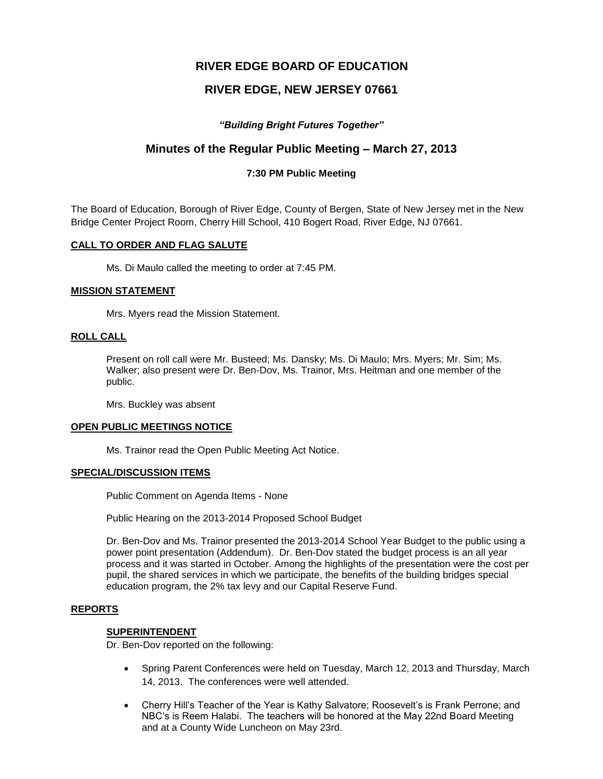# **RIVER EDGE BOARD OF EDUCATION**

# **RIVER EDGE, NEW JERSEY 07661**

## *"Building Bright Futures Together"*

# **Minutes of the Regular Public Meeting – March 27, 2013**

### **7:30 PM Public Meeting**

The Board of Education, Borough of River Edge, County of Bergen, State of New Jersey met in the New Bridge Center Project Room, Cherry Hill School, 410 Bogert Road, River Edge, NJ 07661.

### **CALL TO ORDER AND FLAG SALUTE**

Ms. Di Maulo called the meeting to order at 7:45 PM.

#### **MISSION STATEMENT**

Mrs. Myers read the Mission Statement.

## **ROLL CALL**

Present on roll call were Mr. Busteed; Ms. Dansky; Ms. Di Maulo; Mrs. Myers; Mr. Sim; Ms. Walker; also present were Dr. Ben-Dov, Ms. Trainor, Mrs. Heitman and one member of the public.

Mrs. Buckley was absent

### **OPEN PUBLIC MEETINGS NOTICE**

Ms. Trainor read the Open Public Meeting Act Notice.

### **SPECIAL/DISCUSSION ITEMS**

Public Comment on Agenda Items - None

Public Hearing on the 2013-2014 Proposed School Budget

Dr. Ben-Dov and Ms. Trainor presented the 2013-2014 School Year Budget to the public using a power point presentation (Addendum). Dr. Ben-Dov stated the budget process is an all year process and it was started in October. Among the highlights of the presentation were the cost per pupil, the shared services in which we participate, the benefits of the building bridges special education program, the 2% tax levy and our Capital Reserve Fund.

### **REPORTS**

### **SUPERINTENDENT**

Dr. Ben-Dov reported on the following:

- Spring Parent Conferences were held on Tuesday, March 12, 2013 and Thursday, March 14, 2013. The conferences were well attended.
- Cherry Hill's Teacher of the Year is Kathy Salvatore; Roosevelt's is Frank Perrone; and NBC's is Reem Halabi. The teachers will be honored at the May 22nd Board Meeting and at a County Wide Luncheon on May 23rd.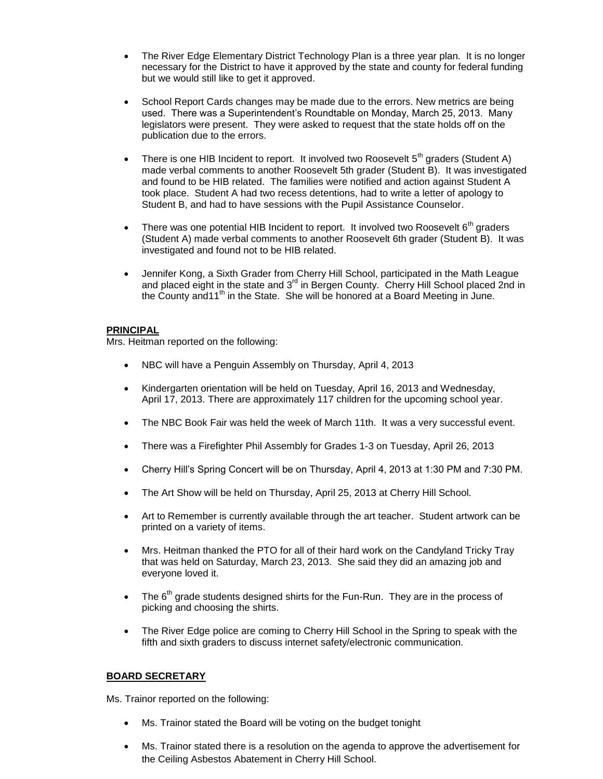- The River Edge Elementary District Technology Plan is a three year plan. It is no longer necessary for the District to have it approved by the state and county for federal funding but we would still like to get it approved.
- School Report Cards changes may be made due to the errors. New metrics are being used. There was a Superintendent's Roundtable on Monday, March 25, 2013. Many legislators were present. They were asked to request that the state holds off on the publication due to the errors.
- There is one HIB Incident to report. It involved two Roosevelt  $5<sup>th</sup>$  graders (Student A) made verbal comments to another Roosevelt 5th grader (Student B). It was investigated and found to be HIB related. The families were notified and action against Student A took place. Student A had two recess detentions, had to write a letter of apology to Student B, and had to have sessions with the Pupil Assistance Counselor.
- There was one potential HIB Incident to report. It involved two Roosevelt  $6<sup>th</sup>$  graders (Student A) made verbal comments to another Roosevelt 6th grader (Student B). It was investigated and found not to be HIB related.
- Jennifer Kong, a Sixth Grader from Cherry Hill School, participated in the Math League and placed eight in the state and 3<sup>rd</sup> in Bergen County. Cherry Hill School placed 2nd in the County and 11<sup>th</sup> in the State. She will be honored at a Board Meeting in June.

### **PRINCIPAL**

Mrs. Heitman reported on the following:

- NBC will have a Penguin Assembly on Thursday, April 4, 2013
- Kindergarten orientation will be held on Tuesday, April 16, 2013 and Wednesday, April 17, 2013. There are approximately 117 children for the upcoming school year.
- The NBC Book Fair was held the week of March 11th. It was a very successful event.
- There was a Firefighter Phil Assembly for Grades 1-3 on Tuesday, April 26, 2013
- Cherry Hill's Spring Concert will be on Thursday, April 4, 2013 at 1:30 PM and 7:30 PM.
- The Art Show will be held on Thursday, April 25, 2013 at Cherry Hill School.
- Art to Remember is currently available through the art teacher. Student artwork can be printed on a variety of items.
- Mrs. Heitman thanked the PTO for all of their hard work on the Candyland Tricky Tray that was held on Saturday, March 23, 2013. She said they did an amazing job and everyone loved it.
- $\bullet$  The  $6<sup>th</sup>$  grade students designed shirts for the Fun-Run. They are in the process of picking and choosing the shirts.
- The River Edge police are coming to Cherry Hill School in the Spring to speak with the fifth and sixth graders to discuss internet safety/electronic communication.

### **BOARD SECRETARY**

Ms. Trainor reported on the following:

- Ms. Trainor stated the Board will be voting on the budget tonight
- Ms. Trainor stated there is a resolution on the agenda to approve the advertisement for the Ceiling Asbestos Abatement in Cherry Hill School.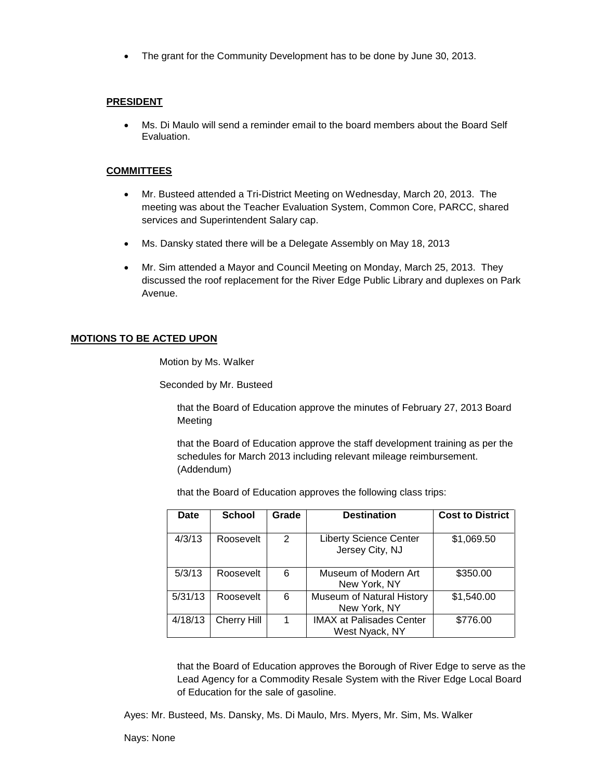The grant for the Community Development has to be done by June 30, 2013.

### **PRESIDENT**

 Ms. Di Maulo will send a reminder email to the board members about the Board Self Evaluation.

### **COMMITTEES**

- Mr. Busteed attended a Tri-District Meeting on Wednesday, March 20, 2013. The meeting was about the Teacher Evaluation System, Common Core, PARCC, shared services and Superintendent Salary cap.
- Ms. Dansky stated there will be a Delegate Assembly on May 18, 2013
- Mr. Sim attended a Mayor and Council Meeting on Monday, March 25, 2013. They discussed the roof replacement for the River Edge Public Library and duplexes on Park Avenue.

### **MOTIONS TO BE ACTED UPON**

Motion by Ms. Walker

Seconded by Mr. Busteed

that the Board of Education approve the minutes of February 27, 2013 Board Meeting

that the Board of Education approve the staff development training as per the schedules for March 2013 including relevant mileage reimbursement. (Addendum)

that the Board of Education approves the following class trips:

| Date    | School             | Grade | <b>Destination</b>                                | <b>Cost to District</b> |
|---------|--------------------|-------|---------------------------------------------------|-------------------------|
| 4/3/13  | Roosevelt          | 2     | <b>Liberty Science Center</b><br>Jersey City, NJ  | \$1,069.50              |
| 5/3/13  | Roosevelt          | 6     | Museum of Modern Art<br>New York, NY              | \$350.00                |
| 5/31/13 | Roosevelt          | 6     | Museum of Natural History<br>New York, NY         | \$1,540.00              |
| 4/18/13 | <b>Cherry Hill</b> | 1     | <b>IMAX at Palisades Center</b><br>West Nyack, NY | \$776.00                |

that the Board of Education approves the Borough of River Edge to serve as the Lead Agency for a Commodity Resale System with the River Edge Local Board of Education for the sale of gasoline.

Ayes: Mr. Busteed, Ms. Dansky, Ms. Di Maulo, Mrs. Myers, Mr. Sim, Ms. Walker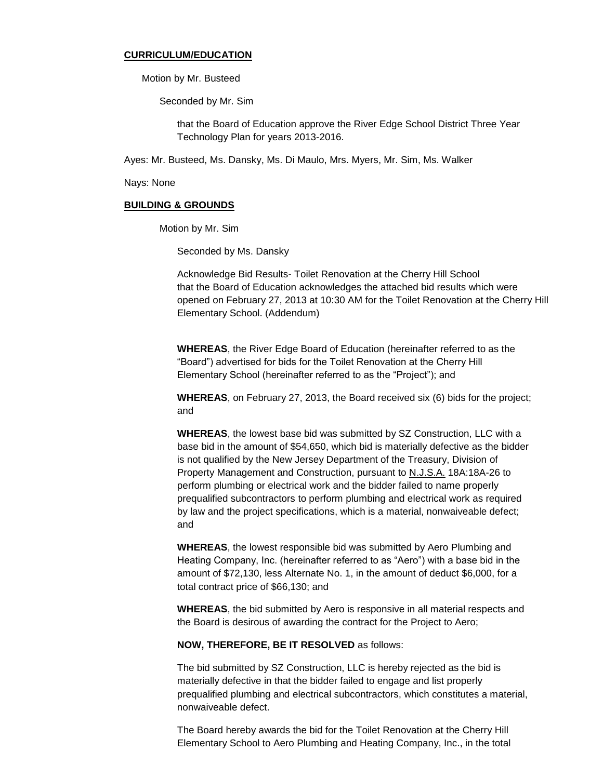#### **CURRICULUM/EDUCATION**

Motion by Mr. Busteed

Seconded by Mr. Sim

that the Board of Education approve the River Edge School District Three Year Technology Plan for years 2013-2016.

Ayes: Mr. Busteed, Ms. Dansky, Ms. Di Maulo, Mrs. Myers, Mr. Sim, Ms. Walker

Nays: None

#### **BUILDING & GROUNDS**

Motion by Mr. Sim

Seconded by Ms. Dansky

Acknowledge Bid Results- Toilet Renovation at the Cherry Hill School that the Board of Education acknowledges the attached bid results which were opened on February 27, 2013 at 10:30 AM for the Toilet Renovation at the Cherry Hill Elementary School. (Addendum)

**WHEREAS**, the River Edge Board of Education (hereinafter referred to as the "Board") advertised for bids for the Toilet Renovation at the Cherry Hill Elementary School (hereinafter referred to as the "Project"); and

**WHEREAS**, on February 27, 2013, the Board received six (6) bids for the project; and

**WHEREAS**, the lowest base bid was submitted by SZ Construction, LLC with a base bid in the amount of \$54,650, which bid is materially defective as the bidder is not qualified by the New Jersey Department of the Treasury, Division of Property Management and Construction, pursuant to N.J.S.A. 18A:18A-26 to perform plumbing or electrical work and the bidder failed to name properly prequalified subcontractors to perform plumbing and electrical work as required by law and the project specifications, which is a material, nonwaiveable defect; and

**WHEREAS**, the lowest responsible bid was submitted by Aero Plumbing and Heating Company, Inc. (hereinafter referred to as "Aero") with a base bid in the amount of \$72,130, less Alternate No. 1, in the amount of deduct \$6,000, for a total contract price of \$66,130; and

**WHEREAS**, the bid submitted by Aero is responsive in all material respects and the Board is desirous of awarding the contract for the Project to Aero;

#### **NOW, THEREFORE, BE IT RESOLVED** as follows:

The bid submitted by SZ Construction, LLC is hereby rejected as the bid is materially defective in that the bidder failed to engage and list properly prequalified plumbing and electrical subcontractors, which constitutes a material, nonwaiveable defect.

The Board hereby awards the bid for the Toilet Renovation at the Cherry Hill Elementary School to Aero Plumbing and Heating Company, Inc., in the total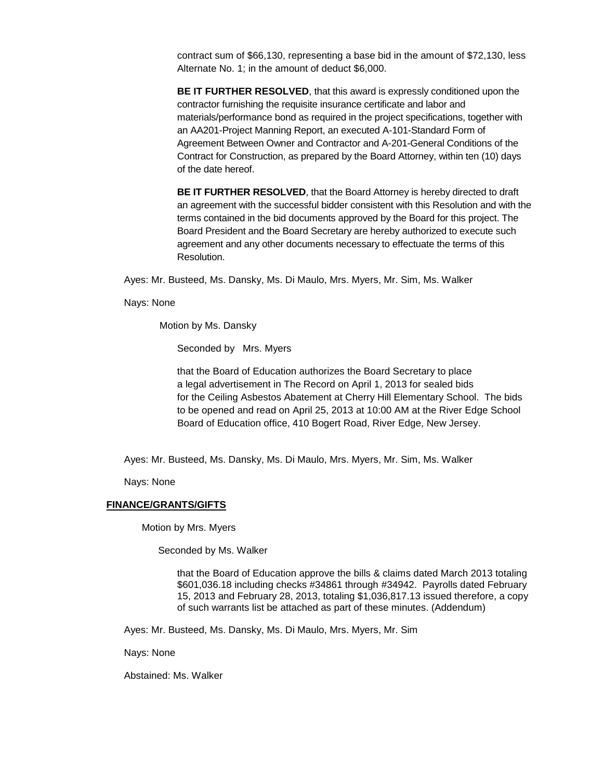contract sum of \$66,130, representing a base bid in the amount of \$72,130, less Alternate No. 1; in the amount of deduct \$6,000.

**BE IT FURTHER RESOLVED**, that this award is expressly conditioned upon the contractor furnishing the requisite insurance certificate and labor and materials/performance bond as required in the project specifications, together with an AA201-Project Manning Report, an executed A-101-Standard Form of Agreement Between Owner and Contractor and A-201-General Conditions of the Contract for Construction, as prepared by the Board Attorney, within ten (10) days of the date hereof.

**BE IT FURTHER RESOLVED**, that the Board Attorney is hereby directed to draft an agreement with the successful bidder consistent with this Resolution and with the terms contained in the bid documents approved by the Board for this project. The Board President and the Board Secretary are hereby authorized to execute such agreement and any other documents necessary to effectuate the terms of this Resolution.

Ayes: Mr. Busteed, Ms. Dansky, Ms. Di Maulo, Mrs. Myers, Mr. Sim, Ms. Walker

Nays: None

Motion by Ms. Dansky

Seconded by Mrs. Myers

 that the Board of Education authorizes the Board Secretary to place a legal advertisement in The Record on April 1, 2013 for sealed bids for the Ceiling Asbestos Abatement at Cherry Hill Elementary School. The bids to be opened and read on April 25, 2013 at 10:00 AM at the River Edge School Board of Education office, 410 Bogert Road, River Edge, New Jersey.

Ayes: Mr. Busteed, Ms. Dansky, Ms. Di Maulo, Mrs. Myers, Mr. Sim, Ms. Walker

Nays: None

#### **FINANCE/GRANTS/GIFTS**

Motion by Mrs. Myers

Seconded by Ms. Walker

that the Board of Education approve the bills & claims dated March 2013 totaling \$601,036.18 including checks #34861 through #34942. Payrolls dated February 15, 2013 and February 28, 2013, totaling \$1,036,817.13 issued therefore, a copy of such warrants list be attached as part of these minutes. (Addendum)

Ayes: Mr. Busteed, Ms. Dansky, Ms. Di Maulo, Mrs. Myers, Mr. Sim

Nays: None

Abstained: Ms. Walker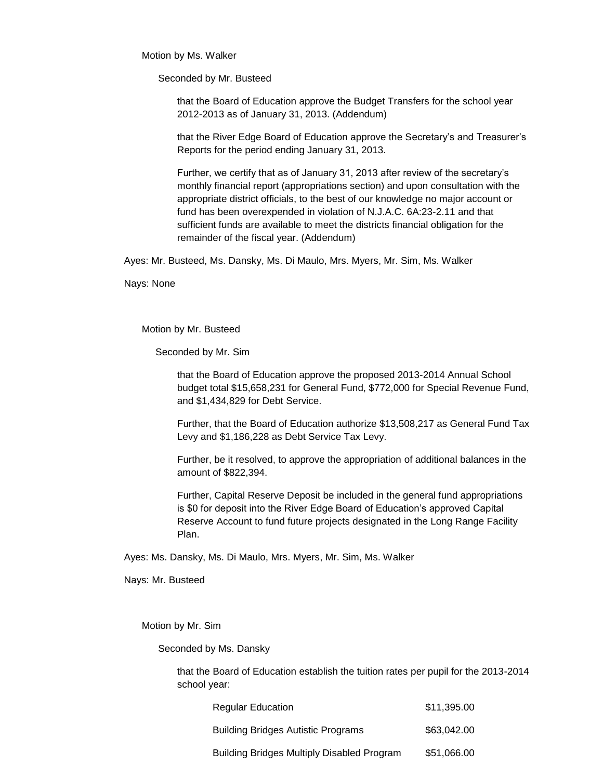Motion by Ms. Walker

Seconded by Mr. Busteed

that the Board of Education approve the Budget Transfers for the school year 2012-2013 as of January 31, 2013. (Addendum)

that the River Edge Board of Education approve the Secretary's and Treasurer's Reports for the period ending January 31, 2013.

Further, we certify that as of January 31, 2013 after review of the secretary's monthly financial report (appropriations section) and upon consultation with the appropriate district officials, to the best of our knowledge no major account or fund has been overexpended in violation of N.J.A.C. 6A:23-2.11 and that sufficient funds are available to meet the districts financial obligation for the remainder of the fiscal year. (Addendum)

Ayes: Mr. Busteed, Ms. Dansky, Ms. Di Maulo, Mrs. Myers, Mr. Sim, Ms. Walker

Nays: None

Motion by Mr. Busteed

Seconded by Mr. Sim

that the Board of Education approve the proposed 2013-2014 Annual School budget total \$15,658,231 for General Fund, \$772,000 for Special Revenue Fund, and \$1,434,829 for Debt Service.

Further, that the Board of Education authorize \$13,508,217 as General Fund Tax Levy and \$1,186,228 as Debt Service Tax Levy.

Further, be it resolved, to approve the appropriation of additional balances in the amount of \$822,394.

Further, Capital Reserve Deposit be included in the general fund appropriations is \$0 for deposit into the River Edge Board of Education's approved Capital Reserve Account to fund future projects designated in the Long Range Facility Plan.

Ayes: Ms. Dansky, Ms. Di Maulo, Mrs. Myers, Mr. Sim, Ms. Walker

Nays: Mr. Busteed

Motion by Mr. Sim

Seconded by Ms. Dansky

that the Board of Education establish the tuition rates per pupil for the 2013-2014 school year:

| <b>Regular Education</b>                   | \$11,395.00 |
|--------------------------------------------|-------------|
| <b>Building Bridges Autistic Programs</b>  | \$63,042,00 |
| Building Bridges Multiply Disabled Program | \$51,066.00 |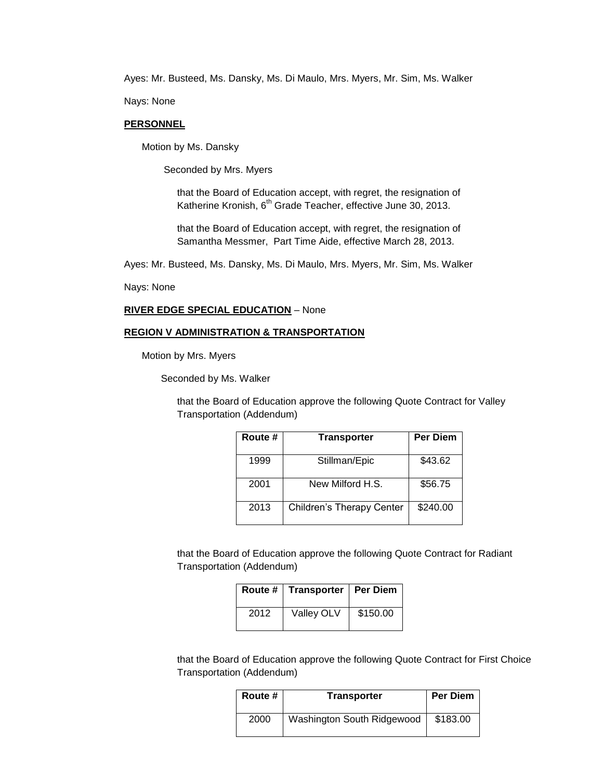Ayes: Mr. Busteed, Ms. Dansky, Ms. Di Maulo, Mrs. Myers, Mr. Sim, Ms. Walker

Nays: None

### **PERSONNEL**

Motion by Ms. Dansky

Seconded by Mrs. Myers

that the Board of Education accept, with regret, the resignation of Katherine Kronish, 6<sup>th</sup> Grade Teacher, effective June 30, 2013.

that the Board of Education accept, with regret, the resignation of Samantha Messmer, Part Time Aide, effective March 28, 2013.

Ayes: Mr. Busteed, Ms. Dansky, Ms. Di Maulo, Mrs. Myers, Mr. Sim, Ms. Walker

Nays: None

#### **RIVER EDGE SPECIAL EDUCATION** – None

#### **REGION V ADMINISTRATION & TRANSPORTATION**

Motion by Mrs. Myers

Seconded by Ms. Walker

that the Board of Education approve the following Quote Contract for Valley Transportation (Addendum)

| Route # | <b>Transporter</b>        | <b>Per Diem</b> |
|---------|---------------------------|-----------------|
| 1999    | Stillman/Epic             | \$43.62         |
| 2001    | New Milford H.S.          | \$56.75         |
| 2013    | Children's Therapy Center | \$240.00        |

that the Board of Education approve the following Quote Contract for Radiant Transportation (Addendum)

|      | Route #   Transporter   Per Diem |          |
|------|----------------------------------|----------|
| 2012 | <b>Valley OLV</b>                | \$150.00 |

that the Board of Education approve the following Quote Contract for First Choice Transportation (Addendum)

| Route # | <b>Transporter</b>         | <b>Per Diem</b> |
|---------|----------------------------|-----------------|
| 2000    | Washington South Ridgewood | \$183.00        |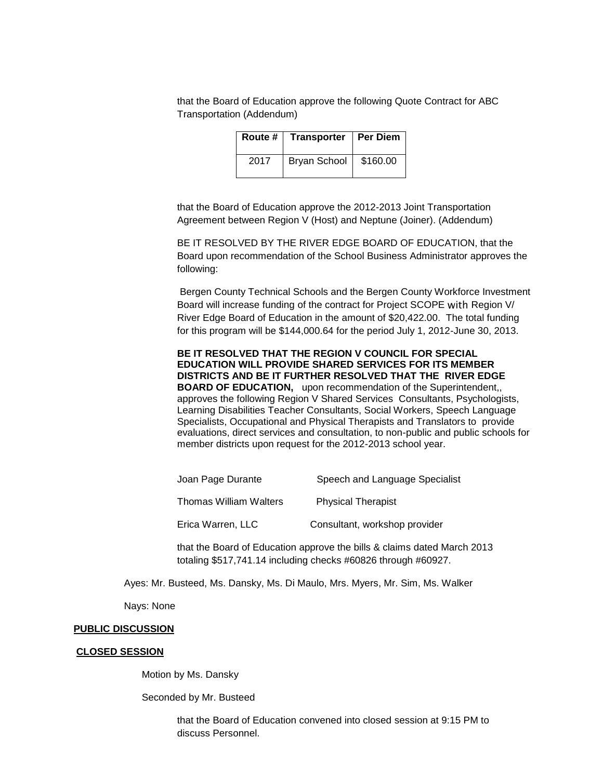that the Board of Education approve the following Quote Contract for ABC Transportation (Addendum)

| Route # | Transporter   Per Diem |          |
|---------|------------------------|----------|
| 2017    | Bryan School           | \$160.00 |

that the Board of Education approve the 2012-2013 Joint Transportation Agreement between Region V (Host) and Neptune (Joiner). (Addendum)

BE IT RESOLVED BY THE RIVER EDGE BOARD OF EDUCATION, that the Board upon recommendation of the School Business Administrator approves the following:

Bergen County Technical Schools and the Bergen County Workforce Investment Board will increase funding of the contract for Project SCOPE with Region V/ River Edge Board of Education in the amount of \$20,422.00. The total funding for this program will be \$144,000.64 for the period July 1, 2012-June 30, 2013.

**BE IT RESOLVED THAT THE REGION V COUNCIL FOR SPECIAL EDUCATION WILL PROVIDE SHARED SERVICES FOR ITS MEMBER DISTRICTS AND BE IT FURTHER RESOLVED THAT THE RIVER EDGE BOARD OF EDUCATION,** upon recommendation of the Superintendent,, approves the following Region V Shared Services Consultants, Psychologists, Learning Disabilities Teacher Consultants, Social Workers, Speech Language Specialists, Occupational and Physical Therapists and Translators to provide evaluations, direct services and consultation, to non-public and public schools for member districts upon request for the 2012-2013 school year.

| Joan Page Durante      | Speech and Language Specialist |
|------------------------|--------------------------------|
| Thomas William Walters | <b>Physical Therapist</b>      |
| Erica Warren, LLC      | Consultant, workshop provider  |

that the Board of Education approve the bills & claims dated March 2013 totaling \$517,741.14 including checks #60826 through #60927.

Ayes: Mr. Busteed, Ms. Dansky, Ms. Di Maulo, Mrs. Myers, Mr. Sim, Ms. Walker

Nays: None

#### **PUBLIC DISCUSSION**

#### **CLOSED SESSION**

Motion by Ms. Dansky

Seconded by Mr. Busteed

that the Board of Education convened into closed session at 9:15 PM to discuss Personnel.